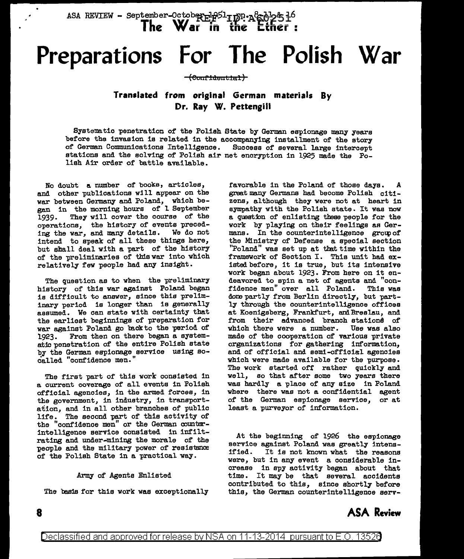ASA REVIEW - September-October 1841 In . ASA REVIEW - September-October 18451 In the Ether!

# **Preparations For The Polish War**

## Eeouffdeu t:tal)

## **Translated from original German materials By Dr. Ray W. Pettengill**

Systematic penetration of the Polish State by German espionage many years before the invasion is related in the accompanying installment of the story of German Communications Intelligence. Success of several large intercept of German Communications Intelligence. stations and the solving of Polish air net encryption in 1925 made the Polish Air order of battle available.

No doubt a number of books, articles, and other publications will appear on the war between Germany and Poland, which began in the morning hours of l September 1939. They will cover the course of the operations, the history of events preceding the war, and many details. We do not intend to speak of all these things here, but shall deal with a part of the history of the preliminaries of this war into which relatively few people had any insight.

The question as to when the preliminary history of this war against Poland began is difficult to answer, since this preliminary period is longer than is generally assumed. We can state with certainty that the earliest beginnings of preparation for war against Poland go back to the period of 1923. From then on there began a systematic penetration of the entire Polish state by the German espionage service using socalled "confidence men."

The first part of this work consisted in a current coverage of all events in Polish official agencies, in the armed forces, in the government, in industry, in transportation, and in all other branches of public life. The second part of this activity of the "confidence men" or the German counterintelligence service consisted in infiltrating and under-mining the morale of the people and the military power of resistance of the Polish State in a practical way.

## Army of Agents Enlisted

The basis for this work was exceptionally

favorable in the Poland of those days. great many Germans had become Polish citizens, although they were not at heart in sympathy with the Polish state. It was now a question of enlisting these people for the work by playing on their feelings as Germans. In the counterintelligence group of the Ministry of Defense a special section "Poland" was set up at that time within tbe framework of Section I. This unit had existed before, it is true, but its intensive work began about 1923. From here on it endeavored to spin a net of agents and "con-<br>fidence men" over all Poland. This was fidence men" over all Poland. done partly from Berlin directly, but partly through the counterintelligence offices at Koenigsberg, Frankfurt, and Breslau, and from their advanced branch stationd of which there were a number. Use was also made of the cooperation of various private organizations for gathering information, and of official and semi-official agencies which were made available for the purpose. The work started off rather quickly and well, so that after some two years there was hardly a place of any size in Poland where there was not a confidential agent of the German espionage service, or at least a purveyor of information.

At the beginning of 1926 the espionage service against Poland was greatly intensified. It is not known what the reasons were, but in any event a considerable increase in spy activity began about that time. It may be that several accidents contributed to this, since shortly before this, the German counterintelligence serv-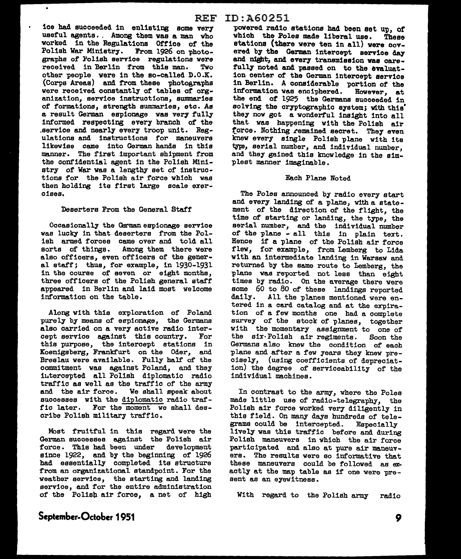ice had succeeded in enlisting some very useful agents. . Among them was a man who worked in the Regulations Office of the Polish War Ministry. From 1926 on photographs of' Polish service regulations were received in Berlin from this man. Two other people were in the so-called D.O.K. (Corps Areas) and f'rom these photosraphs were received constantly of tables of organization, service instructions, summaries of formations, strength summaries, etc. As a result German espionage was very fully informed respecting every branch of the .service and nearly every troop unit. Regulations and instructions for maneuvers likewise came into German hands in this manner. The first important shipment from the confidential agent in the Polish Ministry of War was a lengthy set of instructions for the Polish air force which was then holding its first large scale exercises.

 $\bullet$ 

## Deserters From the General Staff'

Occasionally the Qrman espionage service was lucky in that deserters from the Polish armed forces came over and told all sorts of things. Among them there were also officers, even officers of the general etaff; thus, for example, in 1930-1931 in the course of seven or eight months, three officers of the Polish general staff appeared in Berlin and laid most welcome information on the table.

Along with this exploration of Poland purely by means of espionage, the Germans also carried on a very active radio intercept service against this country. For this purpose, the intercept stations in Koenigsberg, Frankfurt on the Oder, and Breslau were available. Fully half of the commitment was against Poland, and they intercepted all Polish diplomatic radio traffic as well as the traffic of the army and the air force. We shall speak about successes with the diplomatic radio traf-<br>fic later. For the moment we shall des-For the moment we shall describe Polish military traffic.

Most fruitful in this regard were the German successes against the Polish air force. This had been under development since 1922, and by the beginning of 1926 had essentially completed its structure from an organizational standpoint. For the weather service, the starting and landing service, and for the entire administration of the Polisp air force, a net of high

powered radio stations had been set up, of which the Poles made liberal use. These stations (there were ten in all) were covered by the German intercept service day and night, and every transmission was carefully noted and passed on to the evaluation center of the German intercept service in Berlin. A considerable portion of the information was enciphered. However, at the end of 1925 the Germans succeeded in solving the cryptographic system; with this' they now got a wonderful insight into all that was happening with the Polish air force. Nothing remained secret. They even knew every single Polish plane with its type, serial number, and individual number, and they gained this knowledge in the simplest manner imaginable.

## Each Plane Noted

The Polee announced by radio every start and every landing of a plane, with a statement of the direction of the flight, the time of starting or landing, the type, the serial number, and the individual number of the plane - all this in plain text. Hence if a plane of the Polish air force flew, for exemple, from Lemberg to Lida with an intermediate landing in Warsaw and returned by the same route to Lemberg, the plane was reported not less than eight times by radio. On the average there were some 60 to 80 of these landings reported daily. All the planes mentioned were entered in a card catalog and at the expiration of a few months one had a complete survey of the stock of planes, together with the momentary assignment to one of the six· Polish air regiments. Soon the Germans also knew the condition of each plane and after a few years they knew precisely, (using coefficients of depreciation) the degree of serviceability of the individual machines.

In contrast to the army, where the Poles made little use of radio-telegraphy, the Polish air force worked very diligently in this field. On many days hundreds of telegrams could be intercepted. Especially lively was this traffic before and during Polish maneuvers in which the air force participated and also at pure air maneuvers. The results were eo informative that these maneuvers could be followed as exact ly at the map table ae if one were present as an eyewitness.

With regard to the Polish army radio

# **September-October 1951**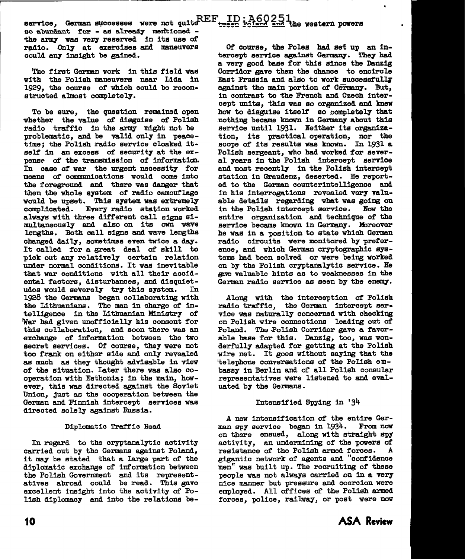service, German successes were not quite REF ao abundant for - as already mentioned the army was very reserved in its use of radio. Only at exercises and maneuvers could any insight be gained.

The first German work in this field was with the Polish maneuvers near Lida in 1929, the course of which could be reconstructed almost completely.

To be sure, the question remained open whether the value of disguise of Polish radio traffic in the army might not be problematic, and be valid only in peacetime; the Polish radio service cloaked itself in an excess of security at the expense of the transmission of information. In case of war the urgent necessity for means of communications would come into the foreground and there was danger that then the whole system of radio camouflage would be upset. This system was extremely complicated. Every radio station worked always with three different call signs simultaneously and also on its own wave lengths. Both call signs and wave lengths changed daily, sometimes even twice a day. It called for a great deal of skill to pick out any relatively certain relation<br>under normal conditions. It was inevitable that war conditions with all their accidental factors, disturbances, and disquietudes would severely try this system. In 1928 the Germans began collaborating with the Lithuanians. The man in charge of intelligence in the Lithuanian Ministry of War had given unofficially his consent for this collaboration, and soon there was an exchange of information between the two secret services. Of course, they were not too frank on either side and only revealed as much as they thought advisable in view of the situation. Later there was also cooperation with Esthonia; in the main, however, this was directed against the Soviet Union, just as the cooperation between the German and Finnish intercept services was directed solely against Russia.

#### Diplomatic Traffic Read

In regard to the cryptanalytic activity carried out by the Germans against Poland, it may be stated that a large part of the diplomatic exchange of information between the Polish Government and its representatives abroad could be read. This gave excellent insight into the activity of Polish diplomacy and into the relations be-

Of course, the Poles had set up an intercept service against Germany. They had a very good base for this since the Danzig Corridor gave them the chance to encircle East Prussia and also to work successfully against the main portion of Germany. But. in contrast to the French and Czech intercept units, this was so organized and knew how to disguise itself so completely that nothing became known in Germany about this service until 1931. Neither its organization, its practical operation, nor the scope of its results was known. In 1931 a Polish sergeant, who had worked for several years in the Polish intercept service and most recently in the Polish intercept station in Graudenz, deserted. He reported to the German counterintelligence and in his interrogations revealed very valuable details regarding what was going on in the Polish intercept service. Now the entire organization and technique of the service became known in Germany. Moreover he was in a position to state which German radio circuits were monitored by preference, and which German cryptographic systems had been solved or were being worked on by the Polish cryptanalytic service. He gave valuable hints as to weaknesses in the German radio service as seen by the enemy.

Along with the interception of Polish radio traffic, the German intercept service was naturally concerned with checking on Polish wire connections leading out of Poland. The Polish Corridor gave a favorable base for this. Danzig, too, was wonderfully adapted for getting at the Polish wire net. It goes without saying that the 'telephone conversations of the Polish embassy in Berlin and of all Polish consular representatives were listened to and evaluated by the Germans.

## Intensified Spying in '34

A new intensification of the entire German spy service began in 1934. From now on there ensued, along with straight spy activity, an undermining of the powers of resistance of the Polish armed forces. A gigantic network of agents and "confidence men" was built up. The recruiting of these people was not always carried on in a very nice manner but pressure and coercion were employed. All offices of the Polish armed forces, police, railway, or post were now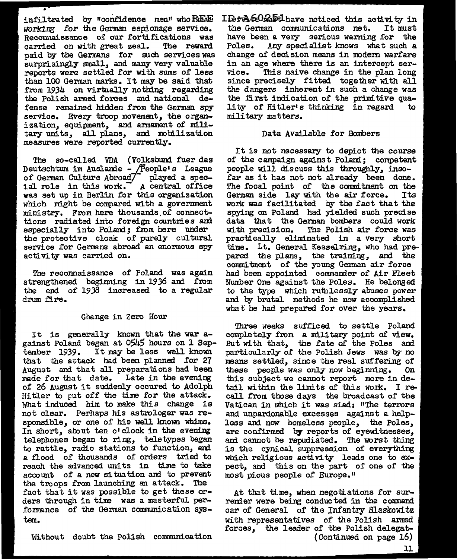infiltrated by "confidence men" who $\mathbf{R}$ EAE *working* for the German espionage service. Reconnaissance of our fortifications was carried on with great zeal. The reward paid by the Germans for such services was surprisingly small, and many very valuable reports were settled for with sums of less than 100 German marks. It may be said that from 1934 on virtually nothing regarding the Polish armed forces and national defense remained hidden from the German spy service. Every troop movement, the organization, equipment, and amament of military uni ts, all plans, and mobilization measures were reported currently.

•

The so-called VDA (Volksbund fuer das Deutschtum im Auslande - /People's League of German Culture Abroad $\top$  played a spec-<br>ial role in this work. A central office ial role in this work. was set up in Berlin for this organization which might be compared with a government ministry. From here thousams.of connecttions radiated into foreign countries am especially into Poland; from here under the protective cloak of purely cultural service for Germans abroad an enormous spy activity was carried on.

The reconnaissance of Poland was again strengthened beginning in 1936 and from the end of 1938 increased to a regular drum fire.

## Change in Zero Hour

It is generally known that the war against Poland began at 0545 hours on 1 September 1939. It may be less well known that the attack had been planned for  $27$ August and that all preparations had been made for that date. Late in the evening of 26 August it suddenly occured to Adolph Hitler to put off the time for the attack. What induced him to make this change is not clear. Perhaps his astrologer was responsible, or one of his well known whims. In short, about ten o'clock in the evening telephones began to ring, teletypes began to rattle, radio stations to function, and a flood of thousands of orders tried to reach the advanced units in time to take account of a new situation and to prevent the troops from launching an attack. The fact that it was possible to get these orders through in tine was a masterful performance of the German communication system.

ID+ A602bt have noticed this activity in the German communications net. It must have been a very serious warning for the Poles. Any specialist knows what such a change of decision means in modern warfare in an age where there is an intercept ser-<br>vice. This naive change in the plan long This naive change in the plan long since precisely fitted together with all the dangers inherent in such a change was the first indication of the primitive quality of Hitler's thinking in regard military matters.

## Data Available for Bombers

It is not necessary to depict the course of the campaign against Polanl; competent people wlll discuss this throughly, insofar as it has not not already been done. The focal point of the commitment on the German side lay with the air force. Its work was facilitated by the fact that the spying on Poland had yielded such precise data that the German bombers could work with precision. The Polish air force was practically eliminated in a very short time. Lt. General Kesselring, who had prepared the plans, the training, and the commitment of the young German air force had been appointed commander of Air Fleet Number One against the Poles. He belonged to the type which ruthlessly abuses power and by brutal methods he now accomplished what he had prepared for over the years.

Three weeks sufficed to settle Poland completely from a military point of view. But with that, the fate of the Poles and particularly of the Polish Jews was by no means settled, since the real suffering of these people was only now beginning. On this subject we cannot report more in detail within the limits of this work. I recall from those days the broadcast of the Vatican in which it was siad: "The terrors and unpardonable excesses against a helpless and now homeless people, the Poles, are confirmed by reports of eyewitnesses, ani cannot be repudiated. The worst thing is the cynical suppression of everything which religious activity leads one to expect, and this on the part of one of the most pious people of Europe. <sup>11</sup>

At that time, when negotiations for surrender were being conducted in the command car of General of the Infantry Blaskowi tz with representatives of *the* Polish armed forces, the leader of the Polish delegat- (Continued on page 16)

Without doubt the Polish communication

11